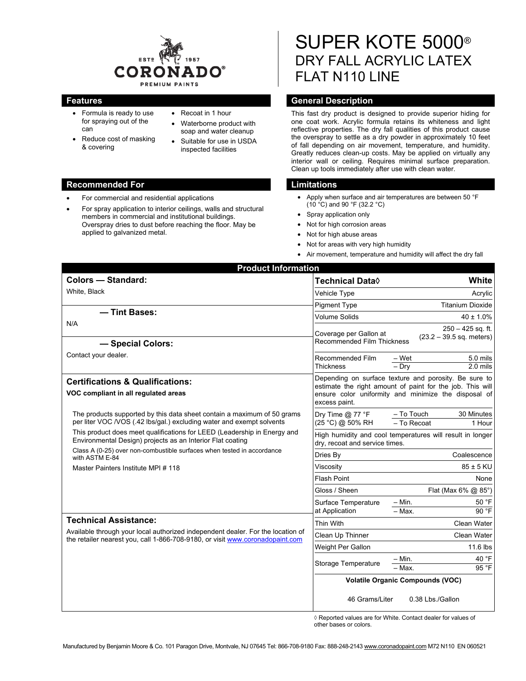

- Formula is ready to use for spraying out of the can
- Reduce cost of masking & covering
- Recoat in 1 hour
- Waterborne product with soap and water cleanup
- Suitable for use in USDA inspected facilities

#### **Recommended For Limitations Commended For Limitations**

- For commercial and residential applications
- For spray application to interior ceilings, walls and structural members in commercial and institutional buildings. Overspray dries to dust before reaching the floor. May be applied to galvanized metal.

# SUPER KOTE 5000® DRY FALL ACRYLIC LATEX FLAT N110 LINE

# **Features General Description Ceneral Description**

This fast dry product is designed to provide superior hiding for one coat work. Acrylic formula retains its whiteness and light reflective properties. The dry fall qualities of this product cause the overspray to settle as a dry powder in approximately 10 feet of fall depending on air movement, temperature, and humidity. Greatly reduces clean-up costs. May be applied on virtually any interior wall or ceiling. Requires minimal surface preparation. Clean up tools immediately after use with clean water.

- Apply when surface and air temperatures are between 50 °F (10 °C) and 90 °F (32.2 °C)
- Spray application only
- Not for high corrosion areas
- Not for high abuse areas
- Not for areas with very high humidity
- Air movement, temperature and humidity will affect the dry fall

| <b>Product Information</b>                                                                                                                       |                                                                                                                                                                                                                                                                                                                                                                                                                                                                                                                                                                                                                                                                                                                                                                                                                                                                               |
|--------------------------------------------------------------------------------------------------------------------------------------------------|-------------------------------------------------------------------------------------------------------------------------------------------------------------------------------------------------------------------------------------------------------------------------------------------------------------------------------------------------------------------------------------------------------------------------------------------------------------------------------------------------------------------------------------------------------------------------------------------------------------------------------------------------------------------------------------------------------------------------------------------------------------------------------------------------------------------------------------------------------------------------------|
| <b>Colors - Standard:</b>                                                                                                                        | White<br>Technical Data◊                                                                                                                                                                                                                                                                                                                                                                                                                                                                                                                                                                                                                                                                                                                                                                                                                                                      |
| White, Black                                                                                                                                     | Vehicle Type                                                                                                                                                                                                                                                                                                                                                                                                                                                                                                                                                                                                                                                                                                                                                                                                                                                                  |
|                                                                                                                                                  | <b>Pigment Type</b>                                                                                                                                                                                                                                                                                                                                                                                                                                                                                                                                                                                                                                                                                                                                                                                                                                                           |
| - Tint Bases:                                                                                                                                    | <b>Volume Solids</b>                                                                                                                                                                                                                                                                                                                                                                                                                                                                                                                                                                                                                                                                                                                                                                                                                                                          |
| N/A                                                                                                                                              | Acrylic<br><b>Titanium Dioxide</b><br>$40 \pm 1.0\%$<br>$250 - 425$ sq. ft.<br>Coverage per Gallon at<br>$(23.2 - 39.5$ sq. meters)<br><b>Recommended Film Thickness</b><br>Recommended Film<br>– Wet<br>5.0 mils<br><b>Thickness</b><br>$-$ Drv<br>$2.0$ mils<br>Depending on surface texture and porosity. Be sure to<br>estimate the right amount of paint for the job. This will<br>ensure color uniformity and minimize the disposal of<br>excess paint.<br>- To Touch<br>Dry Time $@$ 77 °F<br>30 Minutes<br>(25 °C) @ 50% RH<br>- To Recoat<br>1 Hour<br>High humidity and cool temperatures will result in longer<br>dry, recoat and service times.<br>Coalescence<br>Dries By<br>$85 \pm 5$ KU<br>Viscosity<br><b>Flash Point</b><br>None<br>Gloss / Sheen<br>Flat (Max 6% @ 85°)<br>$- Min.$<br>50 °F<br>Surface Temperature<br>90 °F<br>at Application<br>$-$ Max. |
| - Special Colors:                                                                                                                                |                                                                                                                                                                                                                                                                                                                                                                                                                                                                                                                                                                                                                                                                                                                                                                                                                                                                               |
| Contact your dealer.                                                                                                                             |                                                                                                                                                                                                                                                                                                                                                                                                                                                                                                                                                                                                                                                                                                                                                                                                                                                                               |
| <b>Certifications &amp; Qualifications:</b><br>VOC compliant in all regulated areas                                                              |                                                                                                                                                                                                                                                                                                                                                                                                                                                                                                                                                                                                                                                                                                                                                                                                                                                                               |
| The products supported by this data sheet contain a maximum of 50 grams<br>per liter VOC /VOS (.42 lbs/gal.) excluding water and exempt solvents |                                                                                                                                                                                                                                                                                                                                                                                                                                                                                                                                                                                                                                                                                                                                                                                                                                                                               |
| This product does meet qualifications for LEED (Leadership in Energy and<br>Environmental Design) projects as an Interior Flat coating           |                                                                                                                                                                                                                                                                                                                                                                                                                                                                                                                                                                                                                                                                                                                                                                                                                                                                               |
| Class A (0-25) over non-combustible surfaces when tested in accordance<br>with ASTM E-84                                                         |                                                                                                                                                                                                                                                                                                                                                                                                                                                                                                                                                                                                                                                                                                                                                                                                                                                                               |
| Master Painters Institute MPI # 118                                                                                                              |                                                                                                                                                                                                                                                                                                                                                                                                                                                                                                                                                                                                                                                                                                                                                                                                                                                                               |
|                                                                                                                                                  |                                                                                                                                                                                                                                                                                                                                                                                                                                                                                                                                                                                                                                                                                                                                                                                                                                                                               |
|                                                                                                                                                  |                                                                                                                                                                                                                                                                                                                                                                                                                                                                                                                                                                                                                                                                                                                                                                                                                                                                               |
|                                                                                                                                                  |                                                                                                                                                                                                                                                                                                                                                                                                                                                                                                                                                                                                                                                                                                                                                                                                                                                                               |
| <b>Technical Assistance:</b>                                                                                                                     |                                                                                                                                                                                                                                                                                                                                                                                                                                                                                                                                                                                                                                                                                                                                                                                                                                                                               |
| Available through your local authorized independent dealer. For the location of                                                                  |                                                                                                                                                                                                                                                                                                                                                                                                                                                                                                                                                                                                                                                                                                                                                                                                                                                                               |
| the retailer nearest you, call 1-866-708-9180, or visit www.coronadopaint.com                                                                    | Thin With<br><b>Clean Water</b><br>Clean Up Thinner<br><b>Clean Water</b><br>11.6 lbs<br>Weight Per Gallon<br>40 °F<br>$- Min.$<br>Storage Temperature<br>95 °F<br>- Max.<br><b>Volatile Organic Compounds (VOC)</b>                                                                                                                                                                                                                                                                                                                                                                                                                                                                                                                                                                                                                                                          |
|                                                                                                                                                  |                                                                                                                                                                                                                                                                                                                                                                                                                                                                                                                                                                                                                                                                                                                                                                                                                                                                               |
|                                                                                                                                                  |                                                                                                                                                                                                                                                                                                                                                                                                                                                                                                                                                                                                                                                                                                                                                                                                                                                                               |
|                                                                                                                                                  |                                                                                                                                                                                                                                                                                                                                                                                                                                                                                                                                                                                                                                                                                                                                                                                                                                                                               |
|                                                                                                                                                  | 46 Grams/Liter<br>0.38 Lbs./Gallon                                                                                                                                                                                                                                                                                                                                                                                                                                                                                                                                                                                                                                                                                                                                                                                                                                            |

 ◊ Reported values are for White. Contact dealer for values of other bases or colors.